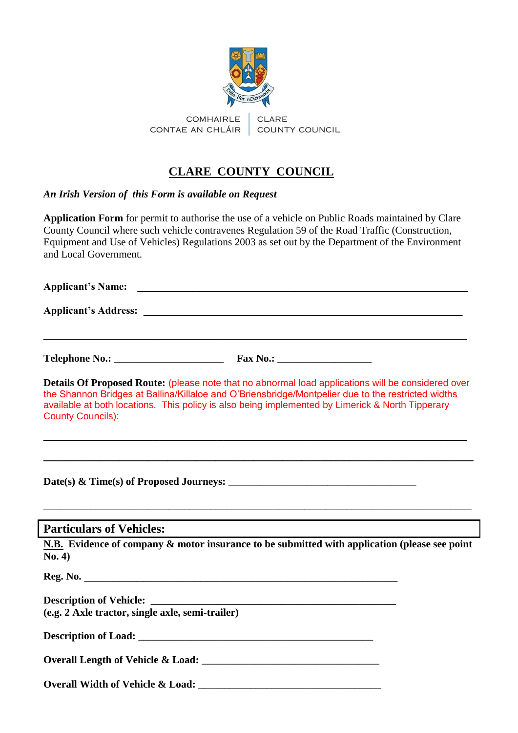

## **CLARE COUNTY COUNCIL**

*An Irish Version of this Form is available on Request* 

**Application Form** for permit to authorise the use of a vehicle on Public Roads maintained by Clare County Council where such vehicle contravenes Regulation 59 of the Road Traffic (Construction, Equipment and Use of Vehicles) Regulations 2003 as set out by the Department of the Environment and Local Government.

**Applicant's Name:** \_\_\_\_\_\_\_\_\_\_\_\_\_\_\_\_\_\_\_\_\_\_\_\_\_\_\_\_\_\_\_\_\_\_\_\_\_\_\_\_\_\_\_\_\_\_\_\_\_\_\_\_\_\_\_\_\_

**Applicant's Address:** \_\_\_\_\_\_\_\_\_\_\_\_\_\_\_\_\_\_\_\_\_\_\_\_\_\_\_\_\_\_\_\_\_\_\_\_\_\_\_\_\_\_\_\_\_\_\_\_\_\_\_\_\_\_\_

| <b>Telephone No.:</b> | <b>Fax No.:</b> |
|-----------------------|-----------------|
|-----------------------|-----------------|

**Details Of Proposed Route:** (please note that no abnormal load applications will be considered over the Shannon Bridges at Ballina/Killaloe and O'Briensbridge/Montpelier due to the restricted widths available at both locations. This policy is also being implemented by Limerick & North Tipperary County Councils):

\_\_\_\_\_\_\_\_\_\_\_\_\_\_\_\_\_\_\_\_\_\_\_\_\_\_\_\_\_\_\_\_\_\_\_\_\_\_\_\_\_\_\_\_\_\_\_\_\_\_\_\_\_\_\_\_\_\_\_\_\_\_\_\_\_\_\_\_\_\_\_\_\_

\_\_\_\_\_\_\_\_\_\_\_\_\_\_\_\_\_\_\_\_\_\_\_\_\_\_\_\_\_\_\_\_\_\_\_\_\_\_\_\_\_\_\_\_\_

\_\_\_\_\_\_\_\_\_\_\_\_\_\_\_\_\_\_\_\_\_\_\_\_\_\_\_\_\_\_\_\_\_\_\_\_\_\_\_\_\_\_\_\_\_\_\_\_\_\_\_\_\_\_\_\_\_\_\_\_\_\_\_\_\_\_\_\_\_\_\_\_\_

Date(s) & Time(s) of Proposed Journeys:

#### **Particulars of Vehicles:**

**N.B. Evidence of company & motor insurance to be submitted with application (please see point No. 4)** 

\_\_\_\_\_\_\_\_\_\_\_\_\_\_\_\_\_\_\_\_\_\_\_\_\_\_\_\_\_\_\_\_\_\_\_\_\_\_\_\_\_\_\_\_\_\_\_\_\_\_\_\_\_\_\_\_\_\_\_\_\_\_\_\_\_\_\_\_\_\_\_\_\_\_\_\_\_\_\_\_\_\_

**Reg. No.**  $\blacksquare$ 

**Description of Vehicle: \_\_\_\_\_\_\_\_\_\_\_\_\_\_\_\_\_\_\_\_\_\_\_\_\_\_\_\_\_\_\_\_\_\_\_\_\_\_\_\_\_\_\_\_\_\_\_ (e.g. 2 Axle tractor, single axle, semi-trailer)** 

**Description of Load:** \_\_\_\_\_\_\_\_\_\_\_\_\_\_\_\_\_\_\_\_\_\_\_\_\_\_\_\_\_\_\_\_\_\_\_\_\_\_\_\_\_\_\_\_\_

**Overall Length of Vehicle & Load:** \_\_\_\_\_\_\_\_\_\_\_\_\_\_\_\_\_\_\_\_\_\_\_\_\_\_\_\_\_\_\_\_\_\_

**Overall Width of Vehicle & Load:** \_\_\_\_\_\_\_\_\_\_\_\_\_\_\_\_\_\_\_\_\_\_\_\_\_\_\_\_\_\_\_\_\_\_\_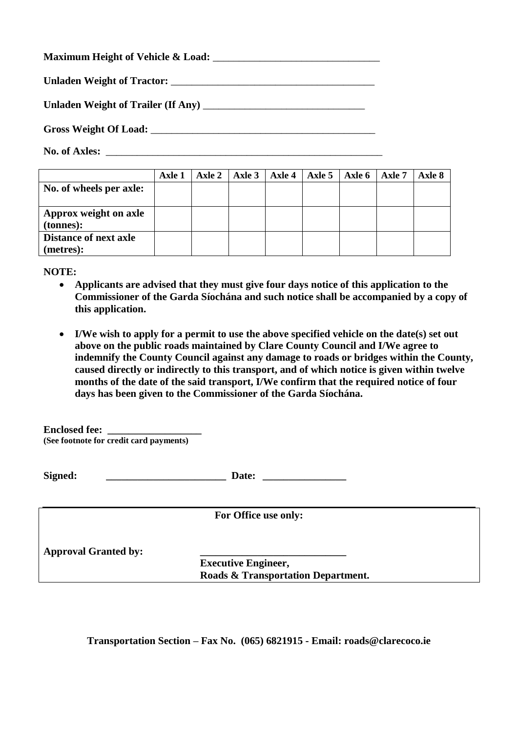|  | <b>Maximum Height of Vehicle &amp; Load:</b> |  |
|--|----------------------------------------------|--|
|  |                                              |  |

**Unladen Weight of Tractor:** \_\_\_\_\_\_\_\_\_\_\_\_\_\_\_\_\_\_\_\_\_\_\_\_\_\_\_\_\_\_\_\_\_\_\_\_\_\_\_

**Unladen Weight of Trailer (If Any)** \_\_\_\_\_\_\_\_\_\_\_\_\_\_\_\_\_\_\_\_\_\_\_\_\_\_\_\_\_\_\_

**Gross Weight Of Load:** \_\_\_\_\_\_\_\_\_\_\_\_\_\_\_\_\_\_\_\_\_\_\_\_\_\_\_\_\_\_\_\_\_\_\_\_\_\_\_\_\_\_\_

No. of Axles:

|                              | Axle 1 |  | Axle 2   Axle 3   Axle 4 | Axle $5 \mid$ Axle $6 \mid$ | Axle 7 | Axle 8 |
|------------------------------|--------|--|--------------------------|-----------------------------|--------|--------|
| No. of wheels per axle:      |        |  |                          |                             |        |        |
|                              |        |  |                          |                             |        |        |
| Approx weight on axle        |        |  |                          |                             |        |        |
| (tonnes):                    |        |  |                          |                             |        |        |
| <b>Distance of next axle</b> |        |  |                          |                             |        |        |
| (metres):                    |        |  |                          |                             |        |        |

**NOTE:**

- **Applicants are advised that they must give four days notice of this application to the Commissioner of the Garda Síochána and such notice shall be accompanied by a copy of this application.**
- **I/We wish to apply for a permit to use the above specified vehicle on the date(s) set out above on the public roads maintained by Clare County Council and I/We agree to indemnify the County Council against any damage to roads or bridges within the County, caused directly or indirectly to this transport, and of which notice is given within twelve months of the date of the said transport, I/We confirm that the required notice of four days has been given to the Commissioner of the Garda Síochána.**

**Enclosed fee: (See footnote for credit card payments)**

**Signed: Date:** *Date:* 

**For Office use only:**

**Approval Granted by: \_\_\_\_\_\_\_\_\_\_\_\_\_\_\_\_\_\_\_\_\_\_\_\_\_\_\_\_**

**Executive Engineer, Roads & Transportation Department.**

**Transportation Section – Fax No. (065) 6821915 - Email: roads@clarecoco.ie**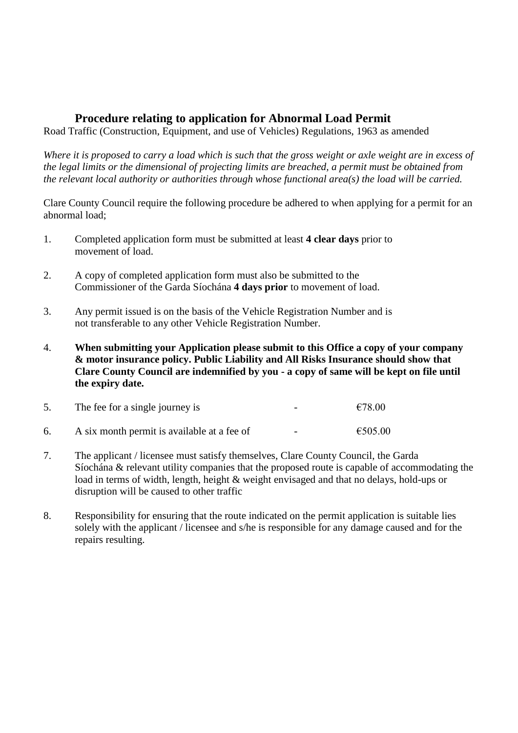### **Procedure relating to application for Abnormal Load Permit**

Road Traffic (Construction, Equipment, and use of Vehicles) Regulations, 1963 as amended

*Where it is proposed to carry a load which is such that the gross weight or axle weight are in excess of the legal limits or the dimensional of projecting limits are breached, a permit must be obtained from the relevant local authority or authorities through whose functional area(s) the load will be carried.*

Clare County Council require the following procedure be adhered to when applying for a permit for an abnormal load;

- 1. Completed application form must be submitted at least **4 clear days** prior to movement of load.
- 2. A copy of completed application form must also be submitted to the Commissioner of the Garda Síochána **4 days prior** to movement of load.
- 3. Any permit issued is on the basis of the Vehicle Registration Number and is not transferable to any other Vehicle Registration Number.
- 4. **When submitting your Application please submit to this Office a copy of your company & motor insurance policy. Public Liability and All Risks Insurance should show that Clare County Council are indemnified by you - a copy of same will be kept on file until the expiry date.**

| The fee for a single journey is             | $\overline{\phantom{0}}$ | €78.00  |
|---------------------------------------------|--------------------------|---------|
| A six month permit is available at a fee of | $\overline{\phantom{0}}$ | €505.00 |

- 7. The applicant / licensee must satisfy themselves, Clare County Council, the Garda Síochána & relevant utility companies that the proposed route is capable of accommodating the load in terms of width, length, height & weight envisaged and that no delays, hold-ups or disruption will be caused to other traffic
- 8. Responsibility for ensuring that the route indicated on the permit application is suitable lies solely with the applicant / licensee and s/he is responsible for any damage caused and for the repairs resulting.